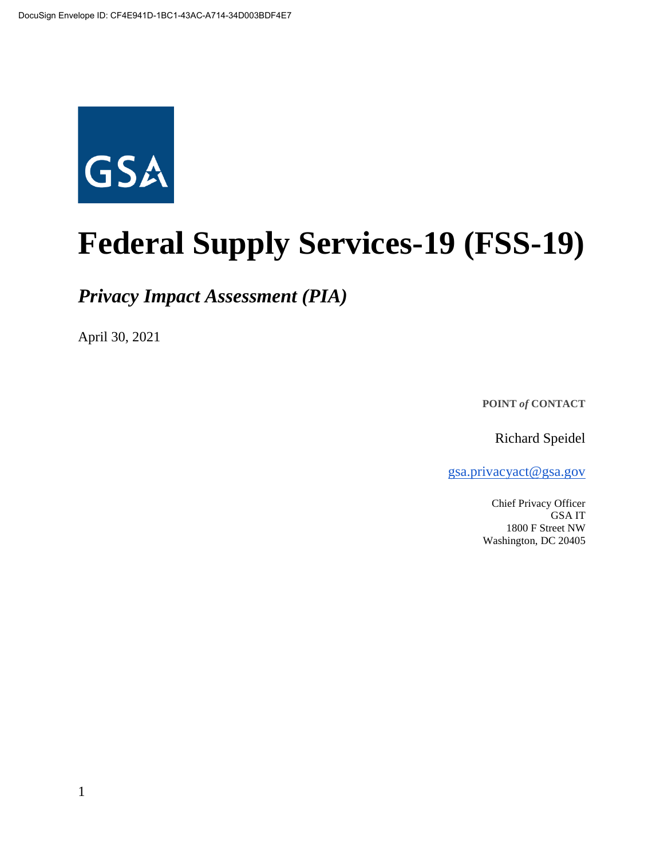

# **Federal Supply Services-19 (FSS-19)**

*Privacy Impact Assessment (PIA)*

April 30, 2021

**POINT** *of* **CONTACT**

Richard Speidel

[gsa.privacyact@gsa.gov](mailto:gsa.privacyact@gsa.gov)

Chief Privacy Officer GSA IT 1800 F Street NW Washington, DC 20405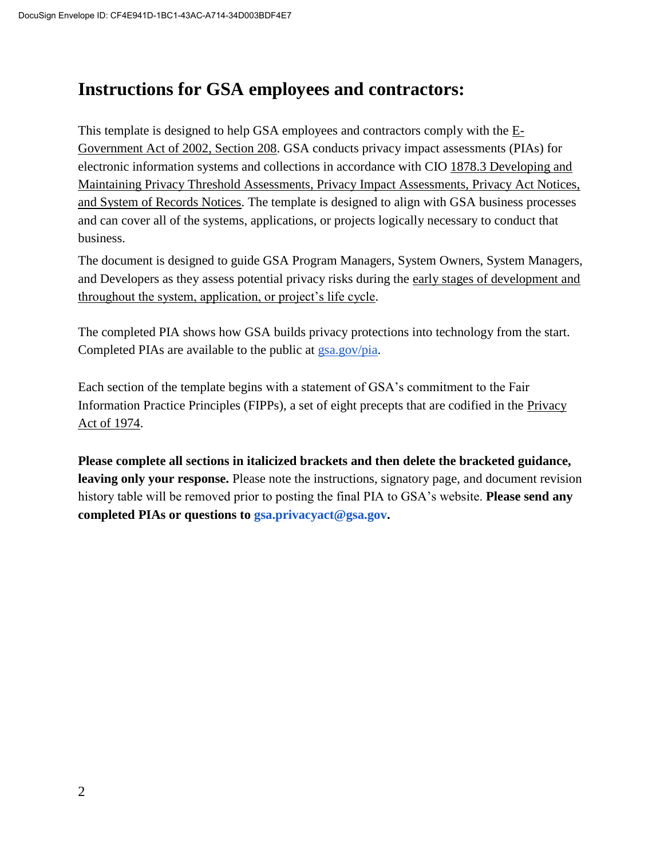# **Instructions for GSA employees and contractors:**

This t[e](https://www.justice.gov/opcl/e-government-act-2002)mplate is designed to help GSA employees and contractors comply with the  $E$ -[Government Act of 2002, Section 208.](https://www.justice.gov/opcl/e-government-act-2002) GSA conducts privacy impact assessments (PIAs) for electronic information systems and collections in accordance with [CIO 1878.3 Developing and](https://insite.gsa.gov/directives-library/developing-and-maintaining-privacy-threshold-assessments-privacy-impact-assessments-privacy-act-notices-and-system-of-records-notices-18783-cio)  [Maintaining Privacy Threshold Assessments, Privacy Impact Assessments, Privacy Act Notices,](https://insite.gsa.gov/directives-library/developing-and-maintaining-privacy-threshold-assessments-privacy-impact-assessments-privacy-act-notices-and-system-of-records-notices-18783-cio)  [and System of Records Notices.](https://insite.gsa.gov/directives-library/developing-and-maintaining-privacy-threshold-assessments-privacy-impact-assessments-privacy-act-notices-and-system-of-records-notices-18783-cio) The template is designed to align with GSA business processes and can cover all of the systems, applications, or projects logically necessary to conduct that business.

The document is designed to guide GSA Program Managers, System Owners, System Managers, and Developers as they assess potential privacy risks during th[e](https://insite.gsa.gov/cdnstatic/insite/Managing_Enterprise_Risk_%5BCIO_IT_Security_06-30_Rev_14%5D_02-01-2019.pdf) [early stages of development and](https://insite.gsa.gov/cdnstatic/insite/Managing_Enterprise_Risk_%5BCIO_IT_Security_06-30_Rev_14%5D_02-01-2019.pdf)  [throughout the system, application, or project's life cycle.](https://insite.gsa.gov/cdnstatic/insite/Managing_Enterprise_Risk_%5BCIO_IT_Security_06-30_Rev_14%5D_02-01-2019.pdf)

The completed PIA shows how GSA builds privacy protections into technology from the start. Completed PIAs are available to the public at [gsa.gov/pia.](https://www.gsa.gov/reference/gsa-privacy-program/privacy-impact-assessments-pia)

Each section of the template begins with a statement of GSA's commitment to the Fair Information Practice Principles (FIPPs), a set of eight precepts that are codified in the [Privacy](https://www.justice.gov/opcl/policy-objectives)  [Act of 1974.](https://www.justice.gov/opcl/policy-objectives)

**Please complete all sections in italicized brackets and then delete the bracketed guidance, leaving only your response.** Please note the instructions, signatory page, and document revision history table will be removed prior to posting the final PIA to GSA's website. **Please send any completed PIAs or questions to gsa.privacyact@gsa.gov.**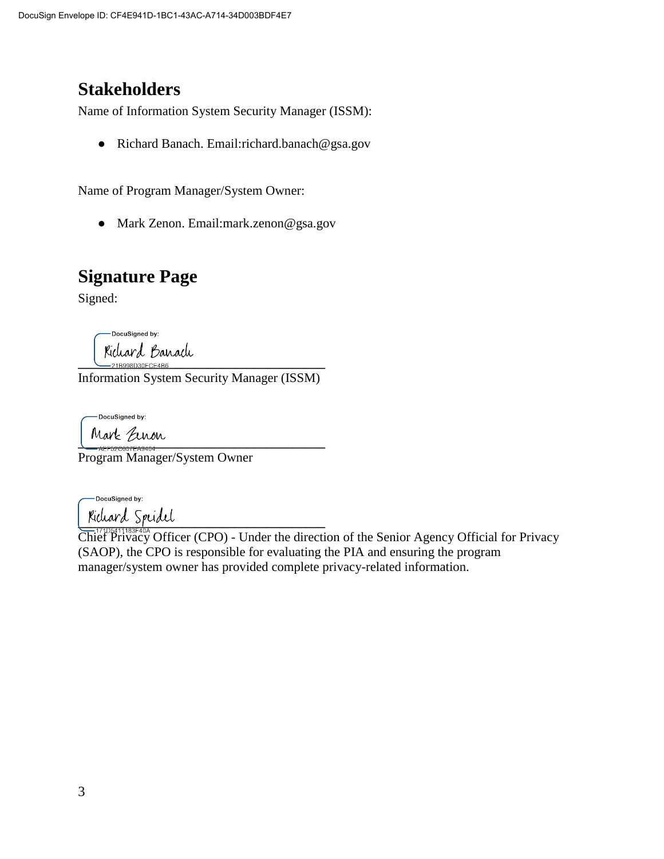# **Stakeholders**

Name of Information System Security Manager (ISSM):

● Richard Banach. Email:richard.banach@gsa.gov

Name of Program Manager/System Owner:

● Mark Zenon. Email:mark.zenon@gsa.gov

# **Signature Page**

Signed:

-DocuSianed by: Kichard Banach<br><sup>--</sup>21B998D30FCE4B6...

Information System Security Manager (ISSM)

-DocuSianed by:

Mark Einon

Program Manager/System Owner

-DocuSigned by: **\_\_\_\_\_\_\_\_\_\_\_\_\_\_\_\_\_\_\_\_\_\_\_\_\_\_\_\_\_\_\_\_\_\_\_\_\_\_**

Chief Privacy Officer (CPO) - Under the direction of the Senior Agency Official for Privacy (SAOP), the CPO is responsible for evaluating the PIA and ensuring the program manager/system owner has provided complete privacy-related information.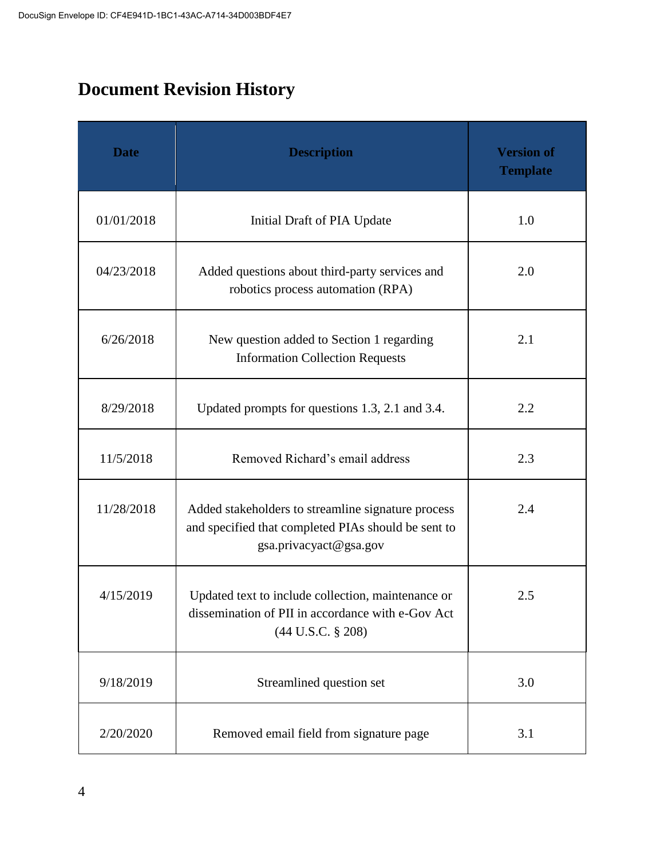# **Document Revision History**

| <b>Date</b> | <b>Description</b>                                                                                                                  | <b>Version of</b><br><b>Template</b> |
|-------------|-------------------------------------------------------------------------------------------------------------------------------------|--------------------------------------|
| 01/01/2018  | Initial Draft of PIA Update                                                                                                         | 1.0                                  |
| 04/23/2018  | Added questions about third-party services and<br>robotics process automation (RPA)                                                 | 2.0                                  |
| 6/26/2018   | New question added to Section 1 regarding<br><b>Information Collection Requests</b>                                                 | 2.1                                  |
| 8/29/2018   | Updated prompts for questions 1.3, 2.1 and 3.4.                                                                                     | 2.2                                  |
| 11/5/2018   | Removed Richard's email address                                                                                                     | 2.3                                  |
| 11/28/2018  | Added stakeholders to streamline signature process<br>and specified that completed PIAs should be sent to<br>gsa.privacyact@gsa.gov | 2.4                                  |
| 4/15/2019   | Updated text to include collection, maintenance or<br>dissemination of PII in accordance with e-Gov Act<br>(44 U.S.C. § 208)        | 2.5                                  |
| 9/18/2019   | Streamlined question set                                                                                                            | 3.0                                  |
| 2/20/2020   | Removed email field from signature page                                                                                             | 3.1                                  |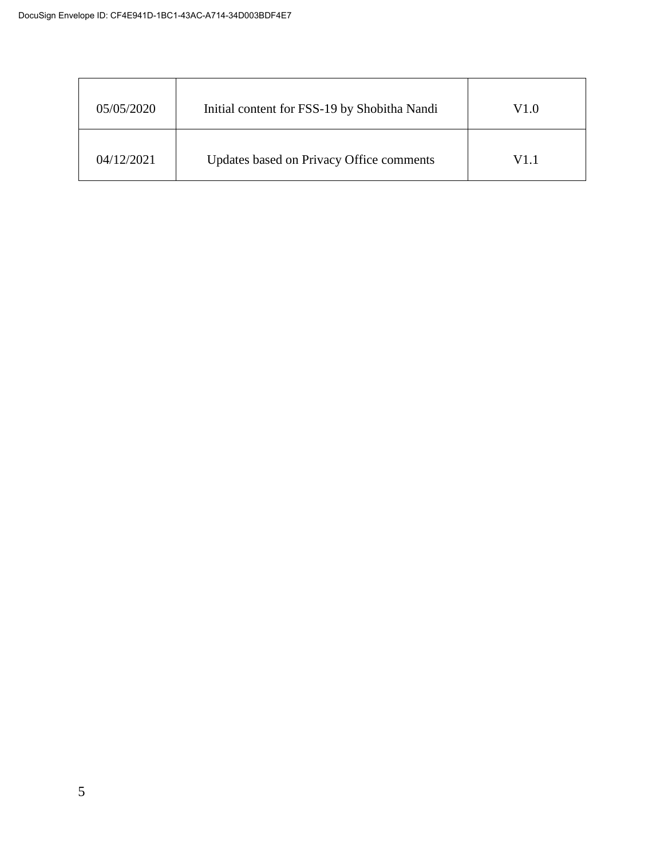| 05/05/2020 | Initial content for FSS-19 by Shobitha Nandi | V1.0 |
|------------|----------------------------------------------|------|
| 04/12/2021 | Updates based on Privacy Office comments     | V1.1 |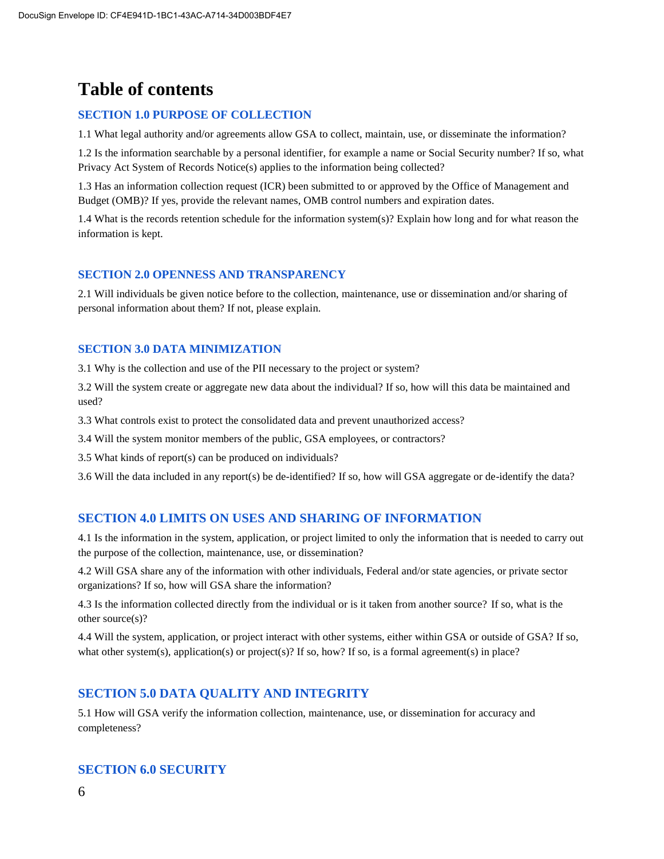# **Table of contents**

#### **SECTION 1.0 PURPOSE OF COLLECTION**

1.1 What legal authority and/or agreements allow GSA to collect, maintain, use, or disseminate the information?

1.2 Is the information searchable by a personal identifier, for example a name or Social Security number? If so, what Privacy Act System of Records Notice(s) applies to the information being collected?

1.3 Has an information collection request (ICR) been submitted to or approved by the Office of Management and Budget (OMB)? If yes, provide the relevant names, OMB control numbers and expiration dates.

1.4 What is the records retention schedule for the information system(s)? Explain how long and for what reason the information is kept.

#### **SECTION 2.0 OPENNESS AND TRANSPARENCY**

2.1 Will individuals be given notice before to the collection, maintenance, use or dissemination and/or sharing of personal information about them? If not, please explain.

#### **SECTION 3.0 DATA MINIMIZATION**

3.1 Why is the collection and use of the PII necessary to the project or system?

3.2 Will the system create or aggregate new data about the individual? If so, how will this data be maintained and used?

3.3 What controls exist to protect the consolidated data and prevent unauthorized access?

3.4 Will the system monitor members of the public, GSA employees, or contractors?

3.5 What kinds of report(s) can be produced on individuals?

3.6 Will the data included in any report(s) be de-identified? If so, how will GSA aggregate or de-identify the data?

#### **SECTION 4.0 LIMITS ON USES AND SHARING OF INFORMATION**

4.1 Is the information in the system, application, or project limited to only the information that is needed to carry out the purpose of the collection, maintenance, use, or dissemination?

4.2 Will GSA share any of the information with other individuals, Federal and/or state agencies, or private sector organizations? If so, how will GSA share the information?

4.3 Is the information collected directly from the individual or is it taken from another source? If so, what is the other source(s)?

4.4 Will the system, application, or project interact with other systems, either within GSA or outside of GSA? If so, what other system(s), application(s) or project(s)? If so, how? If so, is a formal agreement(s) in place?

#### **SECTION 5.0 DATA QUALITY AND INTEGRITY**

5.1 How will GSA verify the information collection, maintenance, use, or dissemination for accuracy and completeness?

#### **SECTION 6.0 SECURITY**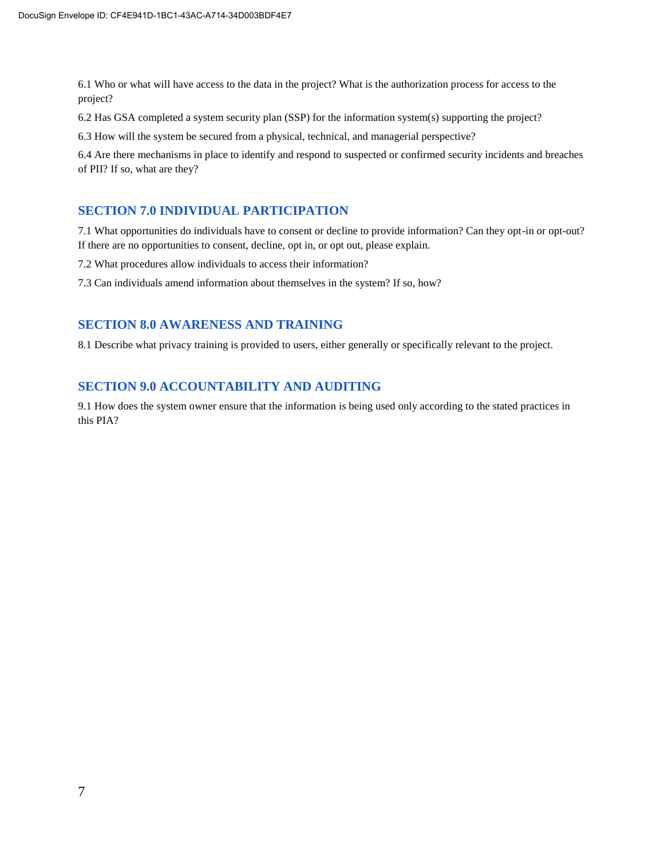6.1 Who or what will have access to the data in the project? What is the authorization process for access to the project?

6.2 Has GSA completed a system security plan (SSP) for the information system(s) supporting the project?

6.3 How will the system be secured from a physical, technical, and managerial perspective?

6.4 Are there mechanisms in place to identify and respond to suspected or confirmed security incidents and breaches of PII? If so, what are they?

#### **SECTION 7.0 INDIVIDUAL PARTICIPATION**

7.1 What opportunities do individuals have to consent or decline to provide information? Can they opt-in or opt-out? If there are no opportunities to consent, decline, opt in, or opt out, please explain.

7.2 What procedures allow individuals to access their information?

7.3 Can individuals amend information about themselves in the system? If so, how?

### **SECTION 8.0 AWARENESS AND TRAINING**

8.1 Describe what privacy training is provided to users, either generally or specifically relevant to the project.

#### **SECTION 9.0 ACCOUNTABILITY AND AUDITING**

9.1 How does the system owner ensure that the information is being used only according to the stated practices in this PIA?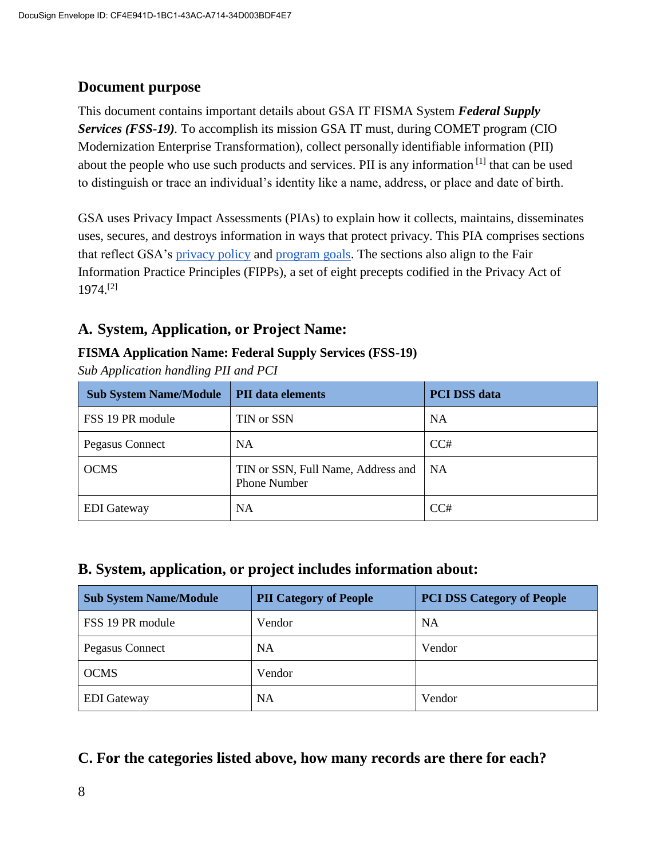### **Document purpose**

This document contains important details about GSA IT FISMA System *Federal Supply Services (FSS-19).* To accomplish its mission GSA IT must, during COMET program (CIO Modernization Enterprise Transformation), collect personally identifiable information (PII) about the people who use such products and services. PII is any information [1] that can be used to distinguish or trace an individual's identity like a name, address, or place and date of birth.

GSA uses Privacy Impact Assessments (PIAs) to explain how it collects, maintains, disseminates uses, secures, and destroys information in ways that protect privacy. This PIA comprises sections that reflect GSA's [privacy policy](https://www.gsa.gov/website-information/privacy-and-security-notice) and [program goals.](https://www.gsa.gov/portal/category/21419) The sections also align to the Fair Information Practice Principles (FIPPs), a set of eight precepts codified in the Privacy Act of 1974.[2]

### **A. System, Application, or Project Name:**

### **FISMA Application Name: Federal Supply Services (FSS-19)**

*Sub Application handling PII and PCI*

| <b>Sub System Name/Module</b> | <b>PII</b> data elements                                  | <b>PCI DSS data</b> |
|-------------------------------|-----------------------------------------------------------|---------------------|
| FSS 19 PR module              | TIN or SSN                                                | <b>NA</b>           |
| Pegasus Connect               | <b>NA</b>                                                 | CC#                 |
| <b>OCMS</b>                   | TIN or SSN, Full Name, Address and<br><b>Phone Number</b> | <b>NA</b>           |
| <b>EDI</b> Gateway            | <b>NA</b>                                                 | CC#                 |

### **B. System, application, or project includes information about:**

| <b>Sub System Name/Module</b> | <b>PII Category of People</b> | <b>PCI DSS Category of People</b> |
|-------------------------------|-------------------------------|-----------------------------------|
| FSS 19 PR module              | Vendor                        | <b>NA</b>                         |
| Pegasus Connect               | <b>NA</b>                     | Vendor                            |
| <b>OCMS</b>                   | Vendor                        |                                   |
| <b>EDI</b> Gateway            | <b>NA</b>                     | Vendor                            |

### **C. For the categories listed above, how many records are there for each?**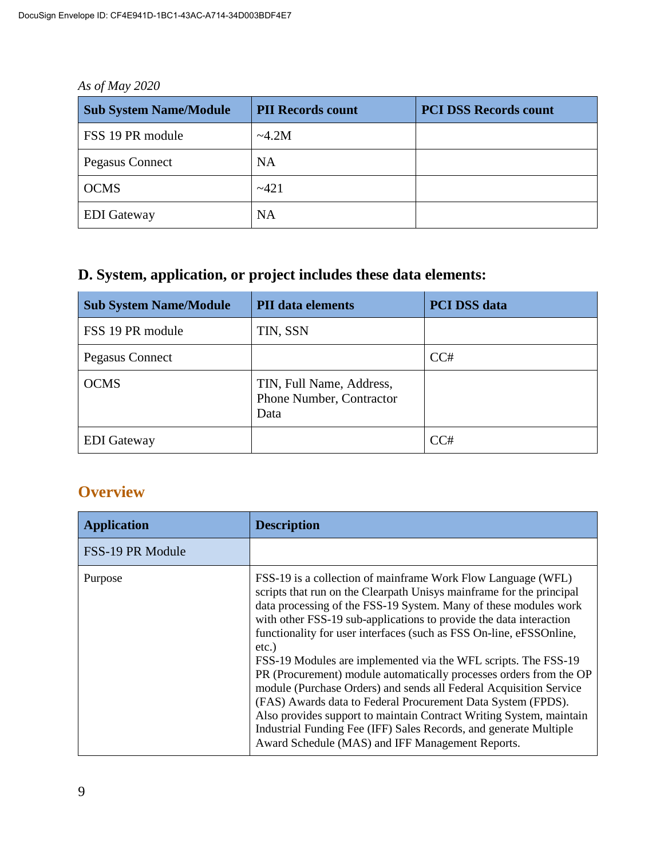# *As of May 2020*

| <b>Sub System Name/Module</b> | <b>PII Records count</b> | <b>PCI DSS Records count</b> |
|-------------------------------|--------------------------|------------------------------|
| FSS 19 PR module              | $\sim$ 4.2M              |                              |
| <b>Pegasus Connect</b>        | <b>NA</b>                |                              |
| <b>OCMS</b>                   | $-421$                   |                              |
| <b>EDI</b> Gateway            | <b>NA</b>                |                              |

# **D. System, application, or project includes these data elements:**

| <b>Sub System Name/Module</b> | <b>PII</b> data elements                                     | <b>PCI DSS data</b> |
|-------------------------------|--------------------------------------------------------------|---------------------|
| FSS 19 PR module              | TIN, SSN                                                     |                     |
| Pegasus Connect               |                                                              | CC#                 |
| <b>OCMS</b>                   | TIN, Full Name, Address,<br>Phone Number, Contractor<br>Data |                     |
| <b>EDI</b> Gateway            |                                                              | CC#                 |

# **Overview**

| <b>Application</b> | <b>Description</b>                                                                                                                                                                                                                                                                                                                                                                                                                                                                                                                                                                                                                                                                                                                                                                                                                              |
|--------------------|-------------------------------------------------------------------------------------------------------------------------------------------------------------------------------------------------------------------------------------------------------------------------------------------------------------------------------------------------------------------------------------------------------------------------------------------------------------------------------------------------------------------------------------------------------------------------------------------------------------------------------------------------------------------------------------------------------------------------------------------------------------------------------------------------------------------------------------------------|
| FSS-19 PR Module   |                                                                                                                                                                                                                                                                                                                                                                                                                                                                                                                                                                                                                                                                                                                                                                                                                                                 |
| Purpose            | FSS-19 is a collection of mainframe Work Flow Language (WFL)<br>scripts that run on the Clearpath Unisys mainframe for the principal<br>data processing of the FSS-19 System. Many of these modules work<br>with other FSS-19 sub-applications to provide the data interaction<br>functionality for user interfaces (such as FSS On-line, eFSSOnline,<br>$etc.$ )<br>FSS-19 Modules are implemented via the WFL scripts. The FSS-19<br>PR (Procurement) module automatically processes orders from the OP<br>module (Purchase Orders) and sends all Federal Acquisition Service<br>(FAS) Awards data to Federal Procurement Data System (FPDS).<br>Also provides support to maintain Contract Writing System, maintain<br>Industrial Funding Fee (IFF) Sales Records, and generate Multiple<br>Award Schedule (MAS) and IFF Management Reports. |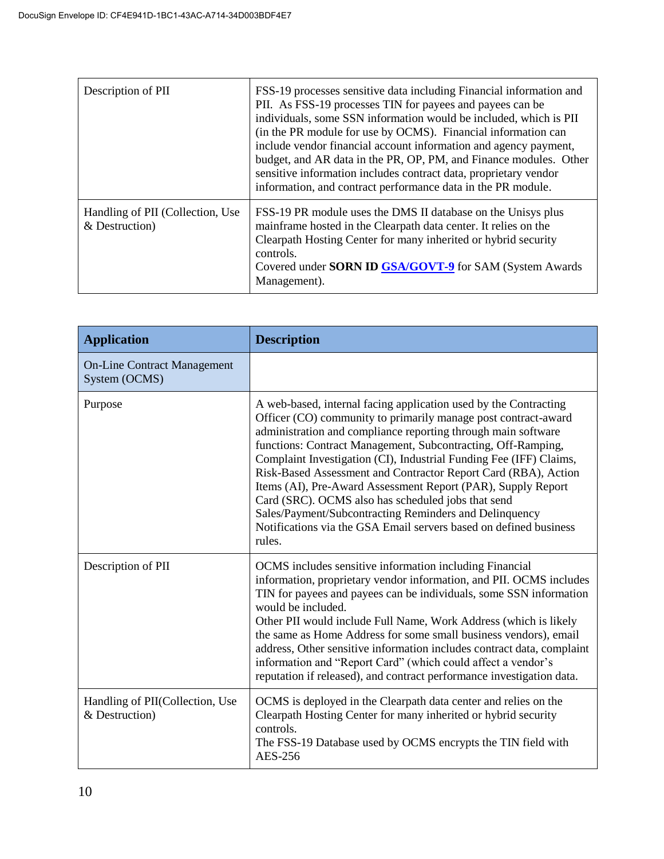| Description of PII                                 | FSS-19 processes sensitive data including Financial information and<br>PII. As FSS-19 processes TIN for payees and payees can be<br>individuals, some SSN information would be included, which is PII<br>(in the PR module for use by OCMS). Financial information can<br>include vendor financial account information and agency payment,<br>budget, and AR data in the PR, OP, PM, and Finance modules. Other<br>sensitive information includes contract data, proprietary vendor<br>information, and contract performance data in the PR module. |
|----------------------------------------------------|-----------------------------------------------------------------------------------------------------------------------------------------------------------------------------------------------------------------------------------------------------------------------------------------------------------------------------------------------------------------------------------------------------------------------------------------------------------------------------------------------------------------------------------------------------|
| Handling of PII (Collection, Use<br>& Destruction) | FSS-19 PR module uses the DMS II database on the Unisys plus<br>mainframe hosted in the Clearpath data center. It relies on the<br>Clearpath Hosting Center for many inherited or hybrid security<br>controls.<br>Covered under SORN ID GSA/GOVT-9 for SAM (System Awards<br>Management).                                                                                                                                                                                                                                                           |

| <b>Application</b>                                  | <b>Description</b>                                                                                                                                                                                                                                                                                                                                                                                                                                                                                                                                                                                                                                                         |
|-----------------------------------------------------|----------------------------------------------------------------------------------------------------------------------------------------------------------------------------------------------------------------------------------------------------------------------------------------------------------------------------------------------------------------------------------------------------------------------------------------------------------------------------------------------------------------------------------------------------------------------------------------------------------------------------------------------------------------------------|
| <b>On-Line Contract Management</b><br>System (OCMS) |                                                                                                                                                                                                                                                                                                                                                                                                                                                                                                                                                                                                                                                                            |
| Purpose                                             | A web-based, internal facing application used by the Contracting<br>Officer (CO) community to primarily manage post contract-award<br>administration and compliance reporting through main software<br>functions: Contract Management, Subcontracting, Off-Ramping,<br>Complaint Investigation (CI), Industrial Funding Fee (IFF) Claims,<br>Risk-Based Assessment and Contractor Report Card (RBA), Action<br>Items (AI), Pre-Award Assessment Report (PAR), Supply Report<br>Card (SRC). OCMS also has scheduled jobs that send<br>Sales/Payment/Subcontracting Reminders and Delinquency<br>Notifications via the GSA Email servers based on defined business<br>rules. |
| Description of PII                                  | OCMS includes sensitive information including Financial<br>information, proprietary vendor information, and PII. OCMS includes<br>TIN for payees and payees can be individuals, some SSN information<br>would be included.<br>Other PII would include Full Name, Work Address (which is likely<br>the same as Home Address for some small business vendors), email<br>address, Other sensitive information includes contract data, complaint<br>information and "Report Card" (which could affect a vendor's<br>reputation if released), and contract performance investigation data.                                                                                      |
| Handling of PII(Collection, Use<br>& Destruction)   | OCMS is deployed in the Clearpath data center and relies on the<br>Clearpath Hosting Center for many inherited or hybrid security<br>controls.<br>The FSS-19 Database used by OCMS encrypts the TIN field with<br>AES-256                                                                                                                                                                                                                                                                                                                                                                                                                                                  |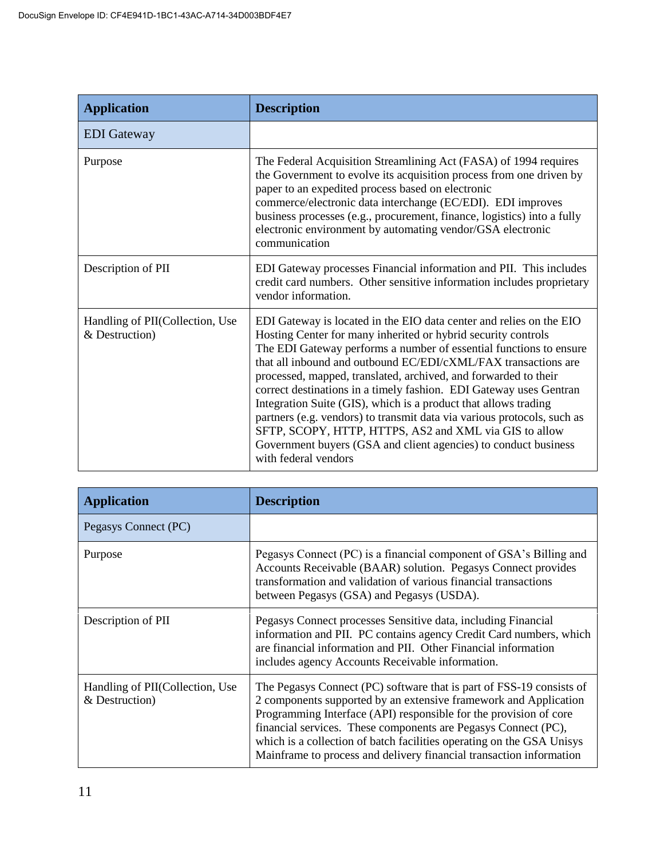| <b>Application</b>                                | <b>Description</b>                                                                                                                                                                                                                                                                                                                                                                                                                                                                                                                                                                                                                                                                                                       |
|---------------------------------------------------|--------------------------------------------------------------------------------------------------------------------------------------------------------------------------------------------------------------------------------------------------------------------------------------------------------------------------------------------------------------------------------------------------------------------------------------------------------------------------------------------------------------------------------------------------------------------------------------------------------------------------------------------------------------------------------------------------------------------------|
| <b>EDI</b> Gateway                                |                                                                                                                                                                                                                                                                                                                                                                                                                                                                                                                                                                                                                                                                                                                          |
| Purpose                                           | The Federal Acquisition Streamlining Act (FASA) of 1994 requires<br>the Government to evolve its acquisition process from one driven by<br>paper to an expedited process based on electronic<br>commerce/electronic data interchange (EC/EDI). EDI improves<br>business processes (e.g., procurement, finance, logistics) into a fully<br>electronic environment by automating vendor/GSA electronic<br>communication                                                                                                                                                                                                                                                                                                    |
| Description of PII                                | EDI Gateway processes Financial information and PII. This includes<br>credit card numbers. Other sensitive information includes proprietary<br>vendor information.                                                                                                                                                                                                                                                                                                                                                                                                                                                                                                                                                       |
| Handling of PII(Collection, Use<br>& Destruction) | EDI Gateway is located in the EIO data center and relies on the EIO<br>Hosting Center for many inherited or hybrid security controls<br>The EDI Gateway performs a number of essential functions to ensure<br>that all inbound and outbound EC/EDI/cXML/FAX transactions are<br>processed, mapped, translated, archived, and forwarded to their<br>correct destinations in a timely fashion. EDI Gateway uses Gentran<br>Integration Suite (GIS), which is a product that allows trading<br>partners (e.g. vendors) to transmit data via various protocols, such as<br>SFTP, SCOPY, HTTP, HTTPS, AS2 and XML via GIS to allow<br>Government buyers (GSA and client agencies) to conduct business<br>with federal vendors |

| <b>Application</b>                                | <b>Description</b>                                                                                                                                                                                                                                                                                                                                                                                                              |
|---------------------------------------------------|---------------------------------------------------------------------------------------------------------------------------------------------------------------------------------------------------------------------------------------------------------------------------------------------------------------------------------------------------------------------------------------------------------------------------------|
| Pegasys Connect (PC)                              |                                                                                                                                                                                                                                                                                                                                                                                                                                 |
| Purpose                                           | Pegasys Connect (PC) is a financial component of GSA's Billing and<br>Accounts Receivable (BAAR) solution. Pegasys Connect provides<br>transformation and validation of various financial transactions<br>between Pegasys (GSA) and Pegasys (USDA).                                                                                                                                                                             |
| Description of PII                                | Pegasys Connect processes Sensitive data, including Financial<br>information and PII. PC contains agency Credit Card numbers, which<br>are financial information and PII. Other Financial information<br>includes agency Accounts Receivable information.                                                                                                                                                                       |
| Handling of PII(Collection, Use<br>& Destruction) | The Pegasys Connect (PC) software that is part of FSS-19 consists of<br>2 components supported by an extensive framework and Application<br>Programming Interface (API) responsible for the provision of core<br>financial services. These components are Pegasys Connect (PC),<br>which is a collection of batch facilities operating on the GSA Unisys<br>Mainframe to process and delivery financial transaction information |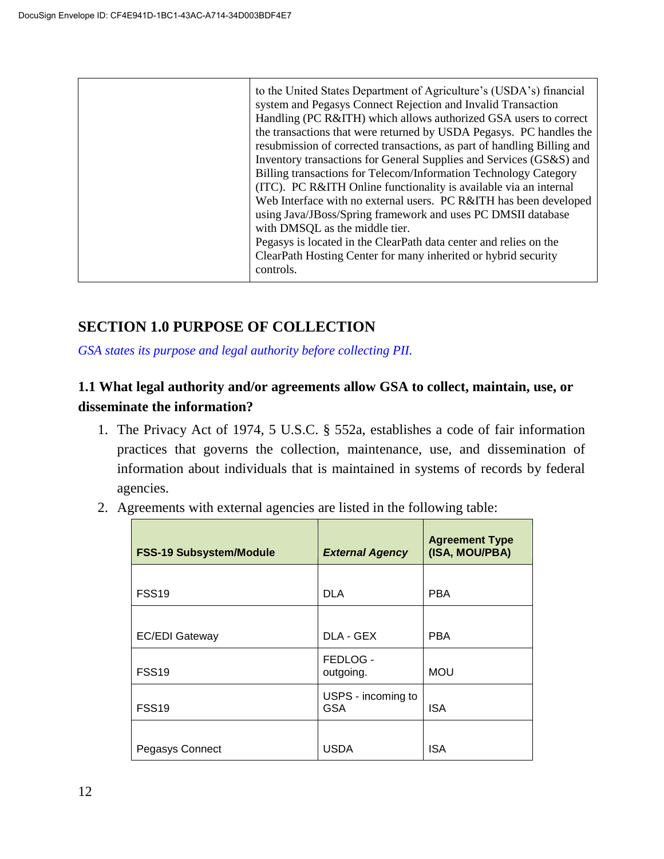|  | to the United States Department of Agriculture's (USDA's) financial<br>system and Pegasys Connect Rejection and Invalid Transaction<br>Handling (PC R&ITH) which allows authorized GSA users to correct<br>the transactions that were returned by USDA Pegasys. PC handles the<br>resubmission of corrected transactions, as part of handling Billing and<br>Inventory transactions for General Supplies and Services (GS&S) and<br>Billing transactions for Telecom/Information Technology Category<br>(ITC). PC R&ITH Online functionality is available via an internal<br>Web Interface with no external users. PC R&ITH has been developed<br>using Java/JBoss/Spring framework and uses PC DMSII database<br>with DMSQL as the middle tier.<br>Pegasys is located in the ClearPath data center and relies on the<br>ClearPath Hosting Center for many inherited or hybrid security<br>controls. |
|--|------------------------------------------------------------------------------------------------------------------------------------------------------------------------------------------------------------------------------------------------------------------------------------------------------------------------------------------------------------------------------------------------------------------------------------------------------------------------------------------------------------------------------------------------------------------------------------------------------------------------------------------------------------------------------------------------------------------------------------------------------------------------------------------------------------------------------------------------------------------------------------------------------|
|--|------------------------------------------------------------------------------------------------------------------------------------------------------------------------------------------------------------------------------------------------------------------------------------------------------------------------------------------------------------------------------------------------------------------------------------------------------------------------------------------------------------------------------------------------------------------------------------------------------------------------------------------------------------------------------------------------------------------------------------------------------------------------------------------------------------------------------------------------------------------------------------------------------|

# **SECTION 1.0 PURPOSE OF COLLECTION**

*GSA states its purpose and legal authority before collecting PII.*

# **1.1 What legal authority and/or agreements allow GSA to collect, maintain, use, or disseminate the information?**

- 1. The Privacy Act of 1974, 5 U.S.C. § 552a, establishes a code of fair information practices that governs the collection, maintenance, use, and dissemination of information about individuals that is maintained in systems of records by federal agencies.
- 2. Agreements with external agencies are listed in the following table:

| <b>FSS-19 Subsystem/Module</b> | <b>External Agency</b>           | <b>Agreement Type</b><br>(ISA, MOU/PBA) |
|--------------------------------|----------------------------------|-----------------------------------------|
| <b>FSS19</b>                   | <b>DLA</b>                       | <b>PBA</b>                              |
|                                |                                  |                                         |
| <b>EC/EDI Gateway</b>          | DLA - GEX                        | <b>PBA</b>                              |
| <b>FSS19</b>                   | FEDLOG -<br>outgoing.            | <b>MOU</b>                              |
| <b>FSS19</b>                   | USPS - incoming to<br><b>GSA</b> | <b>ISA</b>                              |
| Pegasys Connect                | <b>USDA</b>                      | <b>ISA</b>                              |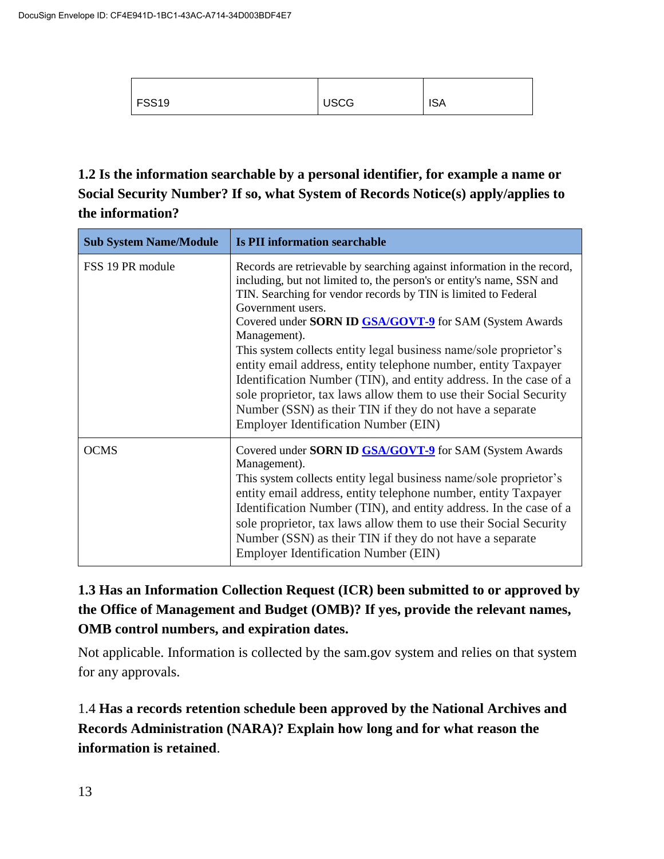| FSS <sub>19</sub> | <b>USCG</b> | <b>ISA</b> |
|-------------------|-------------|------------|

# **1.2 Is the information searchable by a personal identifier, for example a name or Social Security Number? If so, what System of Records Notice(s) apply/applies to the information?**

| <b>Sub System Name/Module</b> | <b>Is PII information searchable</b>                                                                                                                                                                                                                                                                                                                                                                                                                                                                                                                                                                                                                                                                           |  |
|-------------------------------|----------------------------------------------------------------------------------------------------------------------------------------------------------------------------------------------------------------------------------------------------------------------------------------------------------------------------------------------------------------------------------------------------------------------------------------------------------------------------------------------------------------------------------------------------------------------------------------------------------------------------------------------------------------------------------------------------------------|--|
| FSS 19 PR module              | Records are retrievable by searching against information in the record,<br>including, but not limited to, the person's or entity's name, SSN and<br>TIN. Searching for vendor records by TIN is limited to Federal<br>Government users.<br>Covered under SORN ID GSA/GOVT-9 for SAM (System Awards<br>Management).<br>This system collects entity legal business name/sole proprietor's<br>entity email address, entity telephone number, entity Taxpayer<br>Identification Number (TIN), and entity address. In the case of a<br>sole proprietor, tax laws allow them to use their Social Security<br>Number (SSN) as their TIN if they do not have a separate<br><b>Employer Identification Number (EIN)</b> |  |
| <b>OCMS</b>                   | Covered under SORN ID GSA/GOVT-9 for SAM (System Awards<br>Management).<br>This system collects entity legal business name/sole proprietor's<br>entity email address, entity telephone number, entity Taxpayer<br>Identification Number (TIN), and entity address. In the case of a<br>sole proprietor, tax laws allow them to use their Social Security<br>Number (SSN) as their TIN if they do not have a separate<br><b>Employer Identification Number (EIN)</b>                                                                                                                                                                                                                                            |  |

# **1.3 Has an Information Collection Request (ICR) been submitted to or approved by the Office of Management and Budget (OMB)? If yes, provide the relevant names, OMB control numbers, and expiration dates.**

Not applicable. Information is collected by the sam.gov system and relies on that system for any approvals.

# 1.4 **Has a records retention schedule been approved by the National Archives and Records Administration (NARA)? Explain how long and for what reason the information is retained**.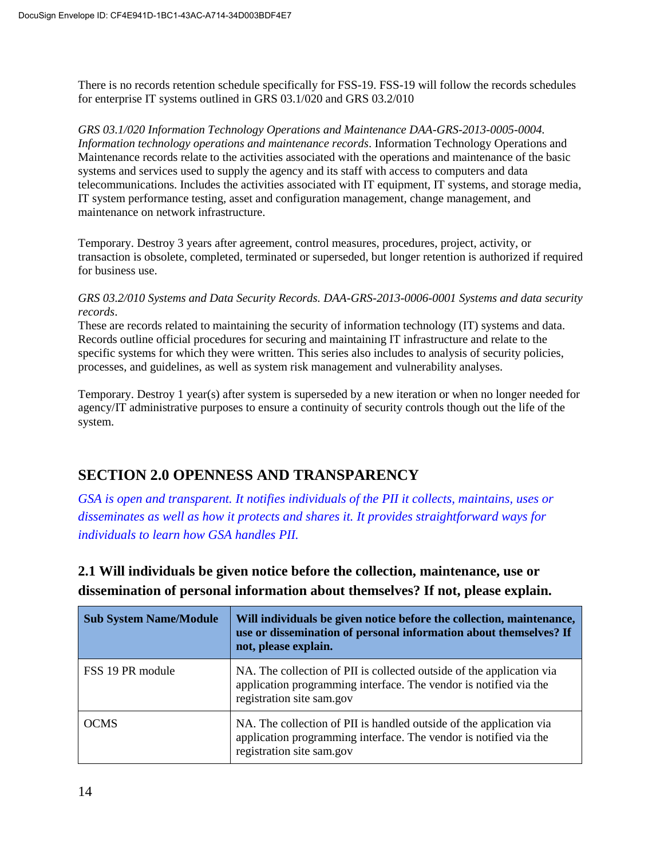There is no records retention schedule specifically for FSS-19. FSS-19 will follow the records schedules for enterprise IT systems outlined in GRS 03.1/020 and GRS 03.2/010

*GRS 03.1/020 Information Technology Operations and Maintenance DAA-GRS-2013-0005-0004. Information technology operations and maintenance records*. Information Technology Operations and Maintenance records relate to the activities associated with the operations and maintenance of the basic systems and services used to supply the agency and its staff with access to computers and data telecommunications. Includes the activities associated with IT equipment, IT systems, and storage media, IT system performance testing, asset and configuration management, change management, and maintenance on network infrastructure.

Temporary. Destroy 3 years after agreement, control measures, procedures, project, activity, or transaction is obsolete, completed, terminated or superseded, but longer retention is authorized if required for business use.

*GRS 03.2/010 Systems and Data Security Records. DAA-GRS-2013-0006-0001 Systems and data security records*.

These are records related to maintaining the security of information technology (IT) systems and data. Records outline official procedures for securing and maintaining IT infrastructure and relate to the specific systems for which they were written. This series also includes to analysis of security policies, processes, and guidelines, as well as system risk management and vulnerability analyses.

Temporary. Destroy 1 year(s) after system is superseded by a new iteration or when no longer needed for agency/IT administrative purposes to ensure a continuity of security controls though out the life of the system.

# **SECTION 2.0 OPENNESS AND TRANSPARENCY**

*GSA is open and transparent. It notifies individuals of the PII it collects, maintains, uses or disseminates as well as how it protects and shares it. It provides straightforward ways for individuals to learn how GSA handles PII.*

| <b>Sub System Name/Module</b> | Will individuals be given notice before the collection, maintenance,<br>use or dissemination of personal information about themselves? If<br>not, please explain.       |  |
|-------------------------------|-------------------------------------------------------------------------------------------------------------------------------------------------------------------------|--|
| FSS 19 PR module              | NA. The collection of PII is collected outside of the application via<br>application programming interface. The vendor is notified via the<br>registration site sam.gov |  |
| <b>OCMS</b>                   | NA. The collection of PII is handled outside of the application via<br>application programming interface. The vendor is notified via the<br>registration site sam.gov   |  |

**2.1 Will individuals be given notice before the collection, maintenance, use or dissemination of personal information about themselves? If not, please explain.**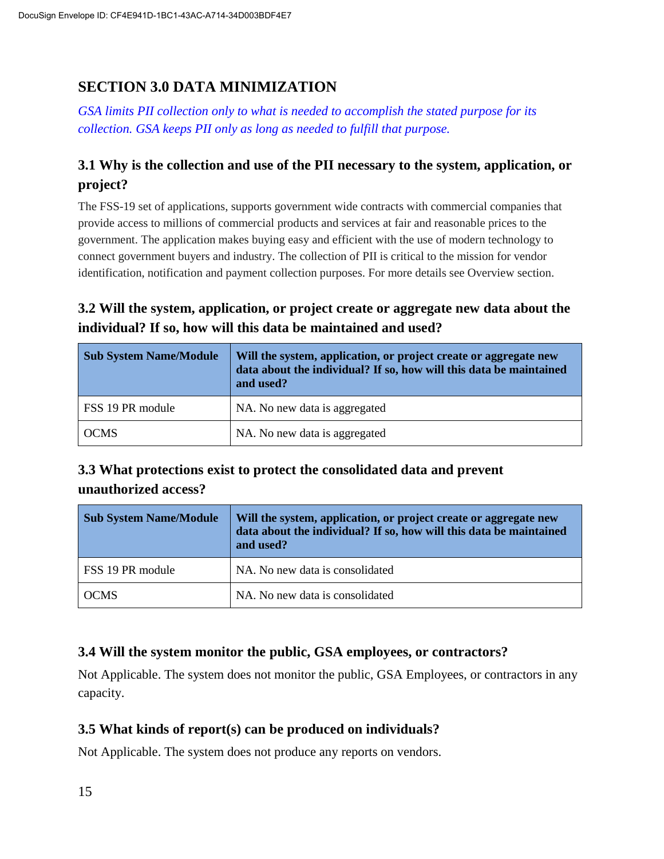# **SECTION 3.0 DATA MINIMIZATION**

*GSA limits PII collection only to what is needed to accomplish the stated purpose for its collection. GSA keeps PII only as long as needed to fulfill that purpose.*

# **3.1 Why is the collection and use of the PII necessary to the system, application, or project?**

The FSS-19 set of applications, supports government wide contracts with commercial companies that provide access to millions of commercial products and services at fair and reasonable prices to the government. The application makes buying easy and efficient with the use of modern technology to connect government buyers and industry. The collection of PII is critical to the mission for vendor identification, notification and payment collection purposes. For more details see Overview section.

# **3.2 Will the system, application, or project create or aggregate new data about the individual? If so, how will this data be maintained and used?**

| <b>Sub System Name/Module</b> | Will the system, application, or project create or aggregate new<br>data about the individual? If so, how will this data be maintained<br>and used? |  |
|-------------------------------|-----------------------------------------------------------------------------------------------------------------------------------------------------|--|
| FSS 19 PR module              | NA. No new data is aggregated                                                                                                                       |  |
| <b>OCMS</b>                   | NA. No new data is aggregated                                                                                                                       |  |

# **3.3 What protections exist to protect the consolidated data and prevent unauthorized access?**

| <b>Sub System Name/Module</b> | Will the system, application, or project create or aggregate new<br>data about the individual? If so, how will this data be maintained<br>and used? |
|-------------------------------|-----------------------------------------------------------------------------------------------------------------------------------------------------|
| FSS 19 PR module              | NA. No new data is consolidated                                                                                                                     |
| <b>OCMS</b>                   | NA. No new data is consolidated                                                                                                                     |

### **3.4 Will the system monitor the public, GSA employees, or contractors?**

Not Applicable. The system does not monitor the public, GSA Employees, or contractors in any capacity.

### **3.5 What kinds of report(s) can be produced on individuals?**

Not Applicable. The system does not produce any reports on vendors.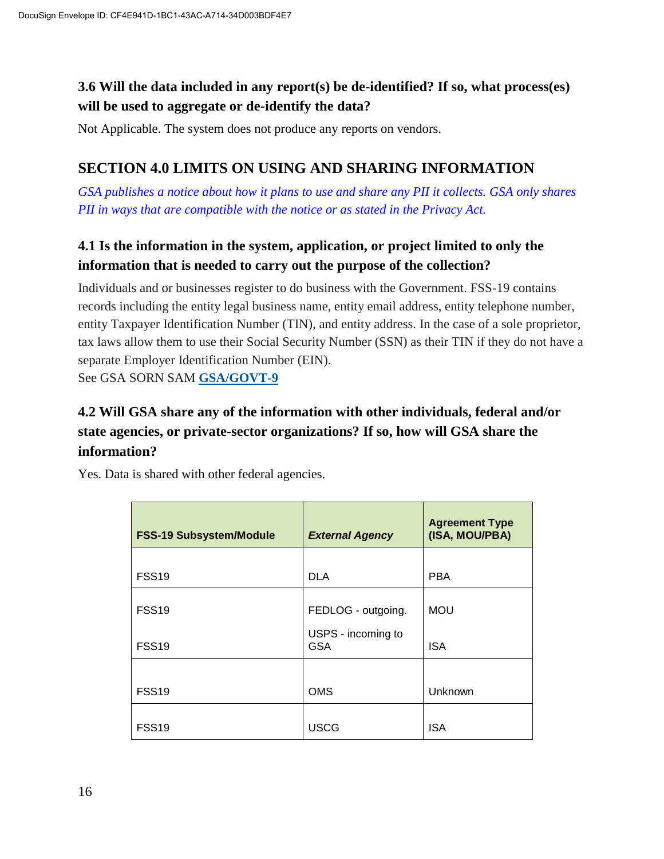# **3.6 Will the data included in any report(s) be de-identified? If so, what process(es) will be used to aggregate or de-identify the data?**

Not Applicable. The system does not produce any reports on vendors.

# **SECTION 4.0 LIMITS ON USING AND SHARING INFORMATION**

*GSA publishes a notice about how it plans to use and share any PII it collects. GSA only shares PII in ways that are compatible with the notice or as stated in the Privacy Act.*

# **4.1 Is the information in the system, application, or project limited to only the information that is needed to carry out the purpose of the collection?**

Individuals and or businesses register to do business with the Government. FSS-19 contains records including the entity legal business name, entity email address, entity telephone number, entity Taxpayer Identification Number (TIN), and entity address. In the case of a sole proprietor, tax laws allow them to use their Social Security Number (SSN) as their TIN if they do not have a separate Employer Identification Number (EIN).

See GSA SORN SAM **[GSA/GOVT-9](https://www.federalregister.gov/documents/2013/02/19/2013-03743/privacy-act-of-1974-notice-of-new-system-of-records)**

# **4.2 Will GSA share any of the information with other individuals, federal and/or state agencies, or private-sector organizations? If so, how will GSA share the information?**

| <b>FSS-19 Subsystem/Module</b> | <b>External Agency</b>           | <b>Agreement Type</b><br>(ISA, MOU/PBA) |
|--------------------------------|----------------------------------|-----------------------------------------|
| FSS <sub>19</sub>              | <b>DLA</b>                       | <b>PBA</b>                              |
| <b>FSS19</b>                   | FEDLOG - outgoing.               | <b>MOU</b>                              |
| <b>FSS19</b>                   | USPS - incoming to<br><b>GSA</b> | <b>ISA</b>                              |
|                                |                                  |                                         |
| <b>FSS19</b>                   | <b>OMS</b>                       | Unknown                                 |
| <b>FSS19</b>                   | <b>USCG</b>                      | <b>ISA</b>                              |

Yes. Data is shared with other federal agencies.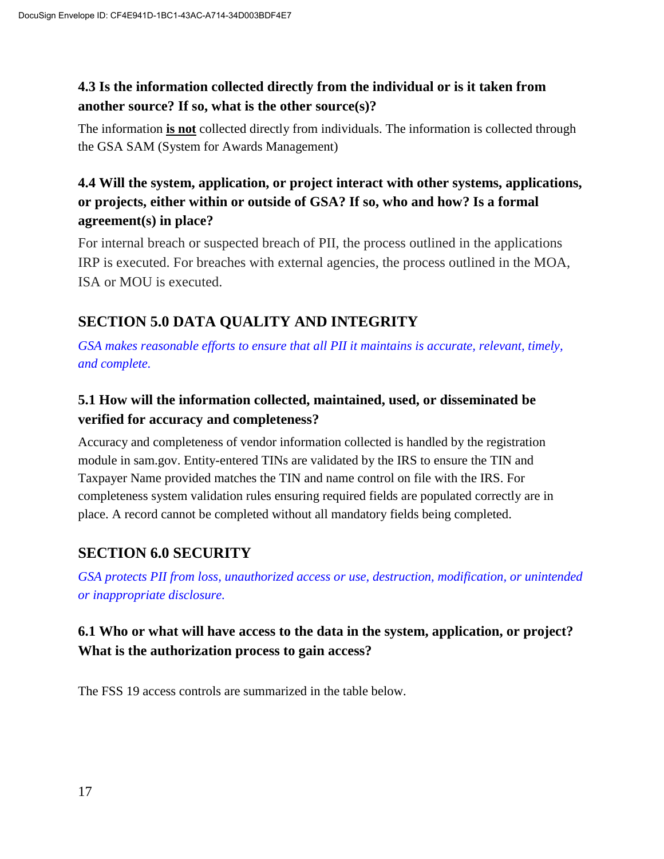# **4.3 Is the information collected directly from the individual or is it taken from another source? If so, what is the other source(s)?**

The information **is not** collected directly from individuals. The information is collected through the GSA SAM (System for Awards Management)

# **4.4 Will the system, application, or project interact with other systems, applications, or projects, either within or outside of GSA? If so, who and how? Is a formal agreement(s) in place?**

For internal breach or suspected breach of PII, the process outlined in the applications IRP is executed. For breaches with external agencies, the process outlined in the MOA, ISA or MOU is executed.

# **SECTION 5.0 DATA QUALITY AND INTEGRITY**

*GSA makes reasonable efforts to ensure that all PII it maintains is accurate, relevant, timely, and complete.*

# **5.1 How will the information collected, maintained, used, or disseminated be verified for accuracy and completeness?**

Accuracy and completeness of vendor information collected is handled by the registration module in sam.gov. Entity-entered TINs are validated by the IRS to ensure the TIN and Taxpayer Name provided matches the TIN and name control on file with the IRS. For completeness system validation rules ensuring required fields are populated correctly are in place. A record cannot be completed without all mandatory fields being completed.

# **SECTION 6.0 SECURITY**

*GSA protects PII from loss, unauthorized access or use, destruction, modification, or unintended or inappropriate disclosure.*

# **6.1 Who or what will have access to the data in the system, application, or project? What is the authorization process to gain access?**

The FSS 19 access controls are summarized in the table below.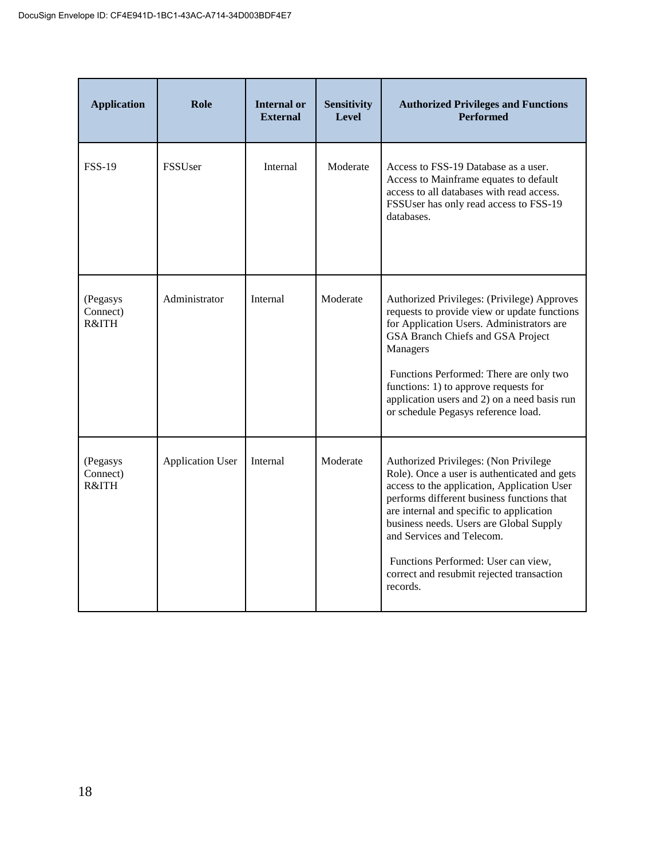| <b>Application</b>                       | Role                    | Internal or<br><b>External</b> | <b>Sensitivity</b><br><b>Level</b> | <b>Authorized Privileges and Functions</b><br><b>Performed</b>                                                                                                                                                                                                                                                                                                                                         |
|------------------------------------------|-------------------------|--------------------------------|------------------------------------|--------------------------------------------------------------------------------------------------------------------------------------------------------------------------------------------------------------------------------------------------------------------------------------------------------------------------------------------------------------------------------------------------------|
| <b>FSS-19</b>                            | <b>FSSUser</b>          | Internal                       | Moderate                           | Access to FSS-19 Database as a user.<br>Access to Mainframe equates to default<br>access to all databases with read access.<br>FSSUser has only read access to FSS-19<br>databases.                                                                                                                                                                                                                    |
| (Pegasys<br>Connect)<br><b>R&amp;ITH</b> | Administrator           | Internal                       | Moderate                           | Authorized Privileges: (Privilege) Approves<br>requests to provide view or update functions<br>for Application Users. Administrators are<br>GSA Branch Chiefs and GSA Project<br>Managers<br>Functions Performed: There are only two<br>functions: 1) to approve requests for<br>application users and 2) on a need basis run<br>or schedule Pegasys reference load.                                   |
| (Pegasys<br>Connect)<br><b>R&amp;ITH</b> | <b>Application User</b> | Internal                       | Moderate                           | Authorized Privileges: (Non Privilege<br>Role). Once a user is authenticated and gets<br>access to the application, Application User<br>performs different business functions that<br>are internal and specific to application<br>business needs. Users are Global Supply<br>and Services and Telecom.<br>Functions Performed: User can view,<br>correct and resubmit rejected transaction<br>records. |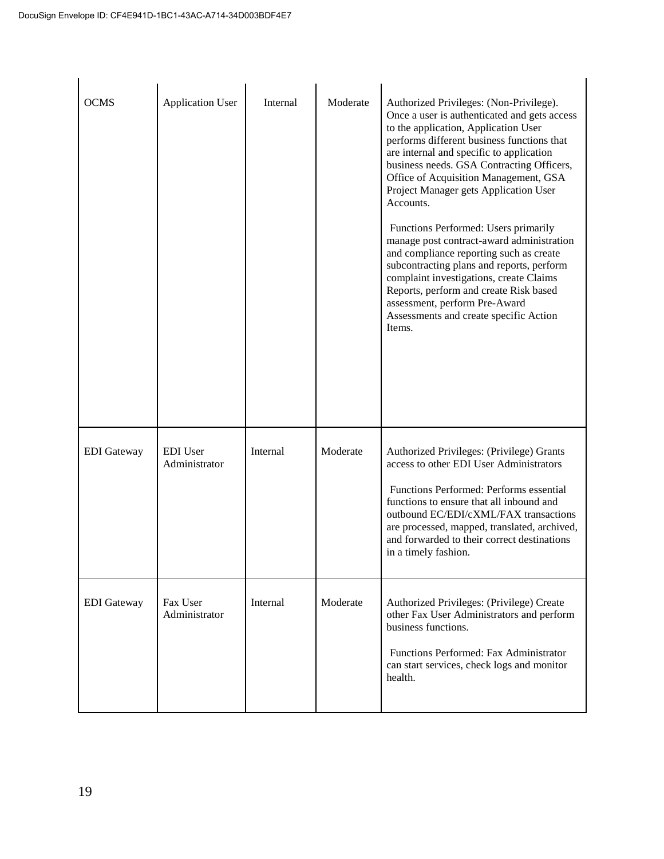| <b>OCMS</b>        | <b>Application User</b>          | Internal | Moderate | Authorized Privileges: (Non-Privilege).<br>Once a user is authenticated and gets access<br>to the application, Application User<br>performs different business functions that<br>are internal and specific to application<br>business needs. GSA Contracting Officers,<br>Office of Acquisition Management, GSA<br>Project Manager gets Application User<br>Accounts.<br>Functions Performed: Users primarily<br>manage post contract-award administration<br>and compliance reporting such as create<br>subcontracting plans and reports, perform<br>complaint investigations, create Claims<br>Reports, perform and create Risk based<br>assessment, perform Pre-Award<br>Assessments and create specific Action<br>Items. |
|--------------------|----------------------------------|----------|----------|------------------------------------------------------------------------------------------------------------------------------------------------------------------------------------------------------------------------------------------------------------------------------------------------------------------------------------------------------------------------------------------------------------------------------------------------------------------------------------------------------------------------------------------------------------------------------------------------------------------------------------------------------------------------------------------------------------------------------|
| <b>EDI</b> Gateway | <b>EDI</b> User<br>Administrator | Internal | Moderate | Authorized Privileges: (Privilege) Grants<br>access to other EDI User Administrators<br>Functions Performed: Performs essential<br>functions to ensure that all inbound and<br>outbound EC/EDI/cXML/FAX transactions<br>are processed, mapped, translated, archived,<br>and forwarded to their correct destinations<br>in a timely fashion.                                                                                                                                                                                                                                                                                                                                                                                  |
| <b>EDI</b> Gateway | Fax User<br>Administrator        | Internal | Moderate | Authorized Privileges: (Privilege) Create<br>other Fax User Administrators and perform<br>business functions.<br>Functions Performed: Fax Administrator<br>can start services, check logs and monitor<br>health.                                                                                                                                                                                                                                                                                                                                                                                                                                                                                                             |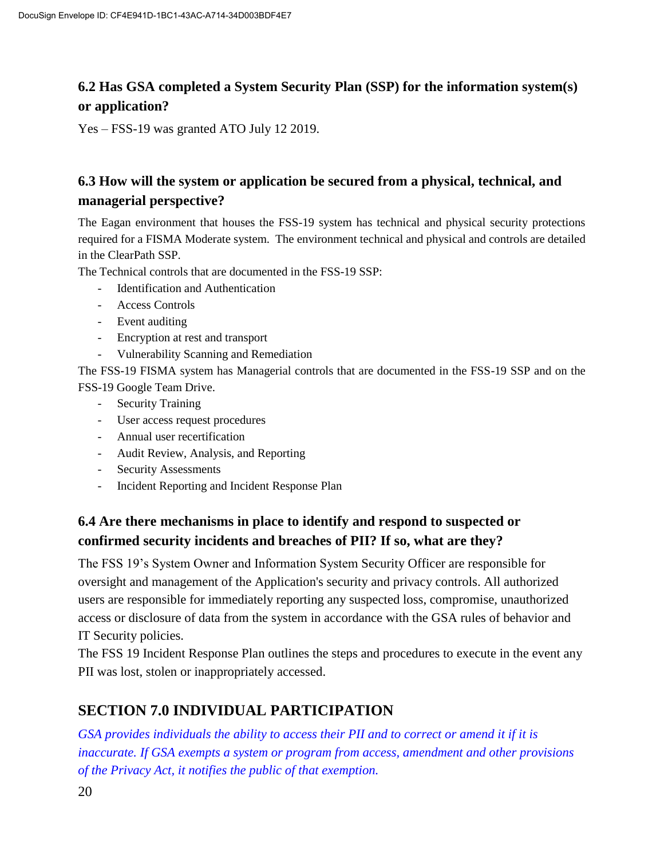### **6.2 Has GSA completed a System Security Plan (SSP) for the information system(s) or application?**

Yes – FSS-19 was granted ATO July 12 2019.

# **6.3 How will the system or application be secured from a physical, technical, and managerial perspective?**

The Eagan environment that houses the FSS-19 system has technical and physical security protections required for a FISMA Moderate system. The environment technical and physical and controls are detailed in the ClearPath SSP.

The Technical controls that are documented in the FSS-19 SSP:

- Identification and Authentication
- Access Controls
- Event auditing
- Encryption at rest and transport
- Vulnerability Scanning and Remediation

The FSS-19 FISMA system has Managerial controls that are documented in the FSS-19 SSP and on the FSS-19 Google Team Drive.

- Security Training
- User access request procedures
- Annual user recertification
- Audit Review, Analysis, and Reporting
- Security Assessments
- Incident Reporting and Incident Response Plan

# **6.4 Are there mechanisms in place to identify and respond to suspected or confirmed security incidents and breaches of PII? If so, what are they?**

The FSS 19's System Owner and Information System Security Officer are responsible for oversight and management of the Application's security and privacy controls. All authorized users are responsible for immediately reporting any suspected loss, compromise, unauthorized access or disclosure of data from the system in accordance with the GSA rules of behavior and IT Security policies.

The FSS 19 Incident Response Plan outlines the steps and procedures to execute in the event any PII was lost, stolen or inappropriately accessed.

# **SECTION 7.0 INDIVIDUAL PARTICIPATION**

*GSA provides individuals the ability to access their PII and to correct or amend it if it is inaccurate. If GSA exempts a system or program from access, amendment and other provisions of the Privacy Act, it notifies the public of that exemption.*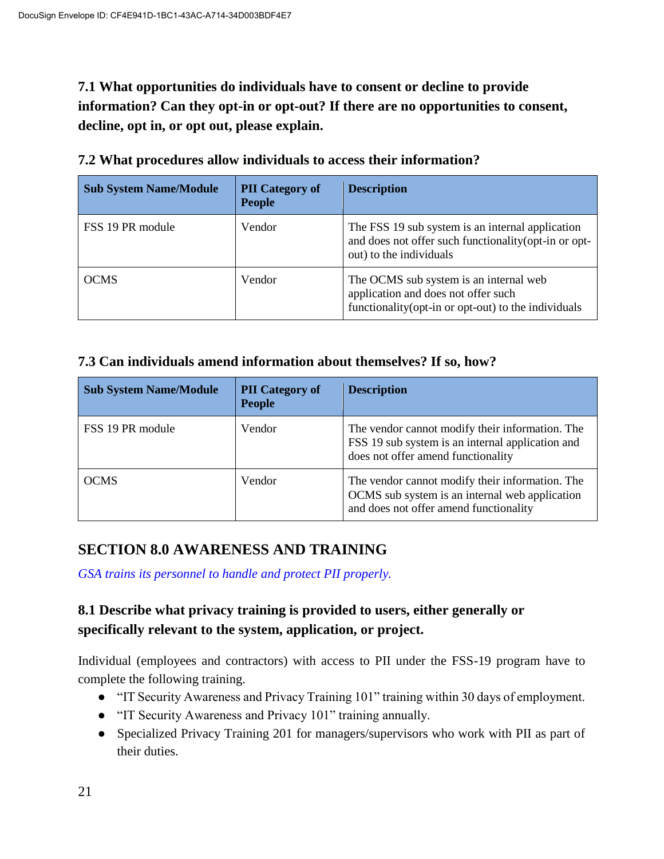**7.1 What opportunities do individuals have to consent or decline to provide information? Can they opt-in or opt-out? If there are no opportunities to consent, decline, opt in, or opt out, please explain.**

| <b>Sub System Name/Module</b> | <b>PII</b> Category of<br><b>People</b> | <b>Description</b>                                                                                                                    |
|-------------------------------|-----------------------------------------|---------------------------------------------------------------------------------------------------------------------------------------|
| FSS 19 PR module              | Vendor                                  | The FSS 19 sub system is an internal application<br>and does not offer such functionality (opt-in or opt-<br>out) to the individuals  |
| <b>OCMS</b>                   | Vendor                                  | The OCMS sub system is an internal web<br>application and does not offer such<br>functionality (opt-in or opt-out) to the individuals |

| 7.2 What procedures allow individuals to access their information? |  |
|--------------------------------------------------------------------|--|
|--------------------------------------------------------------------|--|

### **7.3 Can individuals amend information about themselves? If so, how?**

| <b>Sub System Name/Module</b> | <b>PII</b> Category of<br><b>People</b> | <b>Description</b>                                                                                                                          |
|-------------------------------|-----------------------------------------|---------------------------------------------------------------------------------------------------------------------------------------------|
| FSS 19 PR module              | Vendor                                  | The vendor cannot modify their information. The<br>FSS 19 sub system is an internal application and<br>does not offer amend functionality   |
| <b>OCMS</b>                   | Vendor                                  | The vendor cannot modify their information. The<br>OCMS sub system is an internal web application<br>and does not offer amend functionality |

### **SECTION 8.0 AWARENESS AND TRAINING**

*GSA trains its personnel to handle and protect PII properly.*

# **8.1 Describe what privacy training is provided to users, either generally or specifically relevant to the system, application, or project.**

Individual (employees and contractors) with access to PII under the FSS-19 program have to complete the following training.

- "IT Security Awareness and Privacy Training 101" training within 30 days of employment.
- "IT Security Awareness and Privacy 101" training annually.
- Specialized Privacy Training 201 for managers/supervisors who work with PII as part of their duties.